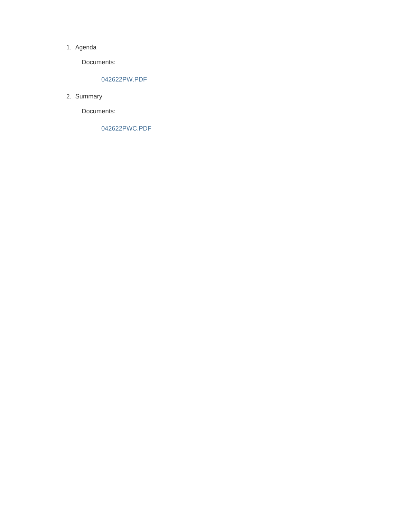#### 1. Agenda

Documents:

#### 042622PW.PDF

2. Summary

Documents:

042622PWC.PDF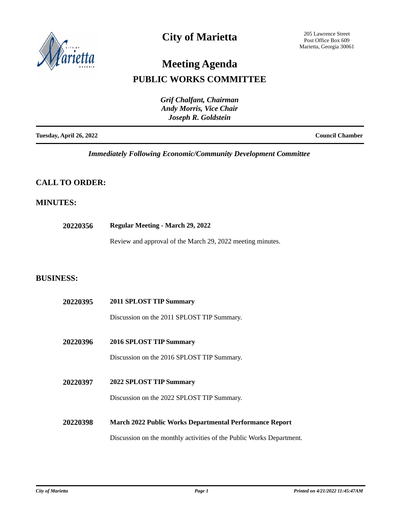

### **City of Marietta**

205 Lawrence Street Post Office Box 609 Marietta, Georgia 30061

# **Meeting Agenda**

### **PUBLIC WORKS COMMITTEE**

|                                | Grif Chalfant, Chairman        |
|--------------------------------|--------------------------------|
|                                | <b>Andy Morris, Vice Chair</b> |
|                                | Joseph R. Goldstein            |
| <b>Tuesday, April 26, 2022</b> | <b>Council Chamber</b>         |

*Immediately Following Economic/Community Development Committee*

### **CALL TO ORDER:**

#### **MINUTES:**

**20220356 Regular Meeting - March 29, 2022**

Review and approval of the March 29, 2022 meeting minutes.

#### **BUSINESS:**

| 20220395 | 2011 SPLOST TIP Summary                                              |
|----------|----------------------------------------------------------------------|
|          | Discussion on the 2011 SPLOST TIP Summary.                           |
| 20220396 | 2016 SPLOST TIP Summary                                              |
|          | Discussion on the 2016 SPLOST TIP Summary.                           |
| 20220397 | 2022 SPLOST TIP Summary                                              |
|          | Discussion on the 2022 SPLOST TIP Summary.                           |
| 20220398 | March 2022 Public Works Departmental Performance Report              |
|          | Discussion on the monthly activities of the Public Works Department. |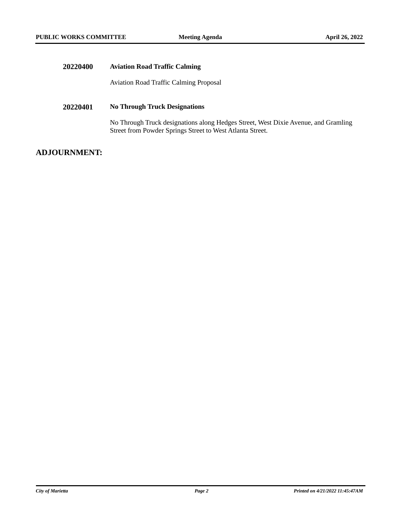| <b>Aviation Road Traffic Calming</b>                                                                                                            |
|-------------------------------------------------------------------------------------------------------------------------------------------------|
| <b>Aviation Road Traffic Calming Proposal</b>                                                                                                   |
| <b>No Through Truck Designations</b>                                                                                                            |
| No Through Truck designations along Hedges Street, West Dixie Avenue, and Gramling<br>Street from Powder Springs Street to West Atlanta Street. |
|                                                                                                                                                 |

### **ADJOURNMENT:**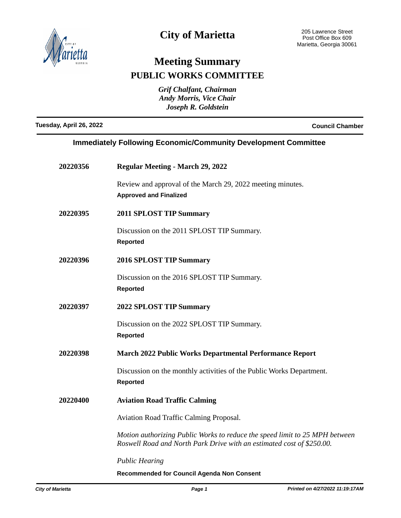

## **City of Marietta**

# **Meeting Summary PUBLIC WORKS COMMITTEE**

*Grif Chalfant, Chairman Andy Morris, Vice Chair Joseph R. Goldstein*

**Tuesday, April 26, 2022 Council Chamber**

#### **Immediately Following Economic/Community Development Committee**

| 20220356 | <b>Regular Meeting - March 29, 2022</b>                                                                                                              |
|----------|------------------------------------------------------------------------------------------------------------------------------------------------------|
|          | Review and approval of the March 29, 2022 meeting minutes.<br><b>Approved and Finalized</b>                                                          |
| 20220395 | <b>2011 SPLOST TIP Summary</b>                                                                                                                       |
|          | Discussion on the 2011 SPLOST TIP Summary.<br><b>Reported</b>                                                                                        |
| 20220396 | <b>2016 SPLOST TIP Summary</b>                                                                                                                       |
|          | Discussion on the 2016 SPLOST TIP Summary.<br><b>Reported</b>                                                                                        |
| 20220397 | <b>2022 SPLOST TIP Summary</b>                                                                                                                       |
|          | Discussion on the 2022 SPLOST TIP Summary.<br><b>Reported</b>                                                                                        |
| 20220398 | <b>March 2022 Public Works Departmental Performance Report</b>                                                                                       |
|          | Discussion on the monthly activities of the Public Works Department.<br><b>Reported</b>                                                              |
| 20220400 | <b>Aviation Road Traffic Calming</b>                                                                                                                 |
|          | Aviation Road Traffic Calming Proposal.                                                                                                              |
|          | Motion authorizing Public Works to reduce the speed limit to 25 MPH between<br>Roswell Road and North Park Drive with an estimated cost of \$250.00. |
|          | <b>Public Hearing</b>                                                                                                                                |
|          | Recommended for Council Agenda Non Consent                                                                                                           |